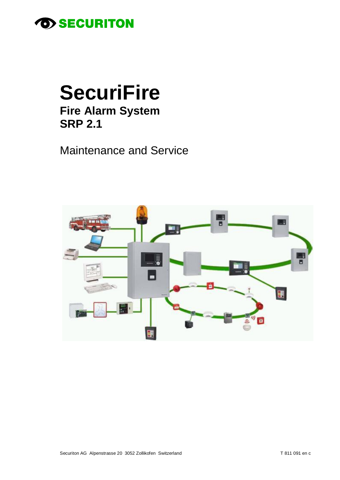

# **SecuriFire Fire Alarm System SRP 2.1**

**Maintenance and Service** 

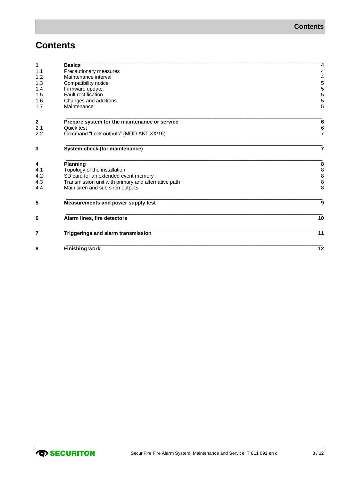### **Contents**

| 1   | <b>Basics</b>                                       |                                       |
|-----|-----------------------------------------------------|---------------------------------------|
| 1.1 | Precautionary measures                              | 4                                     |
| 1.2 | Maintenance interval                                | 4                                     |
| 1.3 | Compatibility notice                                | 5                                     |
| 1.4 | Firmware update:                                    | 5                                     |
| 1.5 | Fault rectification                                 | 5                                     |
| 1.6 | Changes and additions.                              | 5                                     |
| 1.7 | Maintenance                                         | 5                                     |
|     |                                                     |                                       |
| 2   | Prepare system for the maintenance or service       | 6                                     |
| 2.1 | Quick test                                          | 6                                     |
| 2.2 | Command "Lock outputs" (MOD AKT XX/16)              | $\overline{7}$                        |
| 3   | System check (for maintenance)                      | 7                                     |
| 4   | <b>Planning</b>                                     | 8                                     |
| 4.1 | Topology of the installation                        | 8                                     |
| 4.2 | SD card for an extended event memory                | $\begin{array}{c} 8 \\ 8 \end{array}$ |
| 4.3 | Transmission unit with primary and alternative path |                                       |
| 4.4 | Main siren and sub siren outputs                    | 8                                     |
| 5   | Measurements and power supply test                  | 9                                     |
| 6   | Alarm lines, fire detectors                         | 10                                    |
| 7   | Triggerings and alarm transmission                  | 11                                    |
| 8   | <b>Finishing work</b>                               | 12                                    |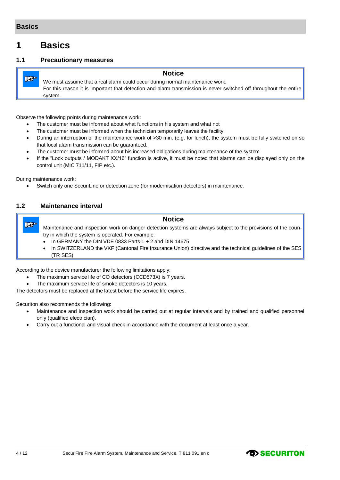**Le** 

### <span id="page-3-0"></span>**1 Basics**

### <span id="page-3-1"></span>**1.1 Precautionary measures**

### **Notice**

We must assume that a real alarm could occur during normal maintenance work. For this reason it is important that detection and alarm transmission is never switched off throughout the entire system.

Observe the following points during maintenance work:

- The customer must be informed about what functions in his system and what not
- The customer must be informed when the technician temporarily leaves the facility.
- During an interruption of the maintenance work of >30 min. (e.g. for lunch), the system must be fully switched on so that local alarm transmission can be guaranteed.
- The customer must be informed about his increased obligations during maintenance of the system
- If the "Lock outputs / MODAKT XX/16" function is active, it must be noted that alarms can be displayed only on the control unit (MIC 711/11, FIP etc.).

During maintenance work:

Switch only one SecuriLine or detection zone (for modernisation detectors) in maintenance.

### <span id="page-3-2"></span>**1.2 Maintenance interval**

#### **Notice**

- **Le** Maintenance and inspection work on danger detection systems are always subject to the provisions of the country in which the system is operated. For example:
	- $\bullet$  In GERMANY the DIN VDE 0833 Parts 1 + 2 and DIN 14675
	- In SWITZERLAND the VKF (Cantonal Fire Insurance Union) directive and the technical guidelines of the SES (TR SES)

According to the device manufacturer the following limitations apply:

- The maximum service life of CO detectors (CCD573X) is 7 years.
- The maximum service life of smoke detectors is 10 years.

The detectors must be replaced at the latest before the service life expires.

Securiton also recommends the following:

- Maintenance and inspection work should be carried out at regular intervals and by trained and qualified personnel only (qualified electrician).
- Carry out a functional and visual check in accordance with the document at least once a year.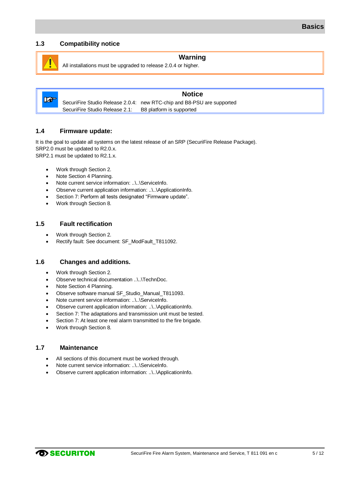### <span id="page-4-0"></span>**1.3 Compatibility notice**

#### **Warning**

All installations must be upgraded to release 2.0.4 or higher.



### **Notice**

SecuriFire Studio Release 2.0.4: new RTC-chip and B8-PSU are supported SecuriFire Studio Release 2.1: B8 platform is supported

#### <span id="page-4-1"></span>**1.4 Firmware update:**

It is the goal to update all systems on the latest release of an SRP (SecuriFire Release Package). SRP2.0 must be updated to R2.0.x. SRP2.1 must be updated to R2.1.x.

- Work through Sectio[n 2.](#page-5-0)
- Note Sectio[n 4](#page-7-0) [Planning.](#page-7-0)
- Note current service information: ..\..\ServiceInfo.
- Observe current application information: ..\..\ApplicationInfo.
- Section [7:](#page-10-0) Perform all tests designated "Firmware update".
- Work through Sectio[n 8.](#page-11-0)

### <span id="page-4-2"></span>**1.5 Fault rectification**

- Work through Sectio[n 2.](#page-5-0)
- Rectify fault: See document: SF\_ModFault\_T811092.

### <span id="page-4-3"></span>**1.6 Changes and additions.**

- Work through Sectio[n 2.](#page-5-0)
- Observe technical documentation ..\..\TechnDoc.
- Note Sectio[n 4](#page-7-0) [Planning.](#page-7-0)
- Observe software manual SF\_Studio\_Manual\_T811093.
- Note current service information: ..\..\ServiceInfo.
- Observe current application information: ..\..\ApplicationInfo.
- Section [7:](#page-10-0) The adaptations and transmission unit must be tested.
- Section [7:](#page-10-0) At least one real alarm transmitted to the fire brigade.
- Work through Sectio[n 8.](#page-11-0)

#### <span id="page-4-4"></span>**1.7 Maintenance**

- All sections of this document must be worked through.
- Note current service information: ..\..\ServiceInfo.
- Observe current application information: ..\..\ApplicationInfo.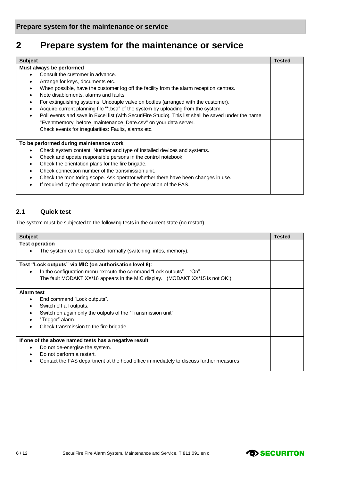### <span id="page-5-0"></span>**2 Prepare system for the maintenance or service**

| <b>Subject</b>                                                                                                    | <b>Tested</b> |
|-------------------------------------------------------------------------------------------------------------------|---------------|
| Must always be performed                                                                                          |               |
| Consult the customer in advance.<br>$\bullet$                                                                     |               |
| Arrange for keys, documents etc.<br>$\bullet$                                                                     |               |
| When possible, have the customer log off the facility from the alarm reception centres.<br>$\bullet$              |               |
| Note disablements, alarms and faults.<br>$\bullet$                                                                |               |
| For extinguishing systems: Uncouple valve on bottles (arranged with the customer).<br>$\bullet$                   |               |
| Acquire current planning file "*.bsa" of the system by uploading from the system.<br>$\bullet$                    |               |
| Poll events and save in Excel list (with SecuriFire Studio). This list shall be saved under the name<br>$\bullet$ |               |
| "Eventmemory_before_maintenance_Date.csv" on your data server.                                                    |               |
| Check events for irregularities: Faults, alarms etc.                                                              |               |
| To be performed during maintenance work                                                                           |               |
| Check system content: Number and type of installed devices and systems.<br>$\bullet$                              |               |
| Check and update responsible persons in the control notebook.<br>$\bullet$                                        |               |
| Check the orientation plans for the fire brigade.<br>$\bullet$                                                    |               |
| Check connection number of the transmission unit.<br>$\bullet$                                                    |               |
| Check the monitoring scope. Ask operator whether there have been changes in use.<br>$\bullet$                     |               |
| If required by the operator: Instruction in the operation of the FAS.                                             |               |

### <span id="page-5-1"></span>**2.1 Quick test**

The system must be subjected to the following tests in the current state (no restart).

| <b>Subject</b>                                                                         |  |
|----------------------------------------------------------------------------------------|--|
| <b>Test operation</b>                                                                  |  |
| The system can be operated normally (switching, infos, memory).                        |  |
|                                                                                        |  |
| Test "Lock outputs" via MIC (on authorisation level 8):                                |  |
| In the configuration menu execute the command "Lock outputs" – "On".<br>$\bullet$      |  |
| The fault MODAKT XX/16 appears in the MIC display. (MODAKT XX/15 is not OK!)           |  |
|                                                                                        |  |
| Alarm test                                                                             |  |
| End command "Lock outputs".<br>٠                                                       |  |
| Switch off all outputs.<br>٠                                                           |  |
| Switch on again only the outputs of the "Transmission unit".                           |  |
| "Trigger" alarm.                                                                       |  |
| Check transmission to the fire brigade.                                                |  |
| If one of the above named tests has a negative result                                  |  |
| Do not de-energise the system.<br>$\bullet$                                            |  |
| Do not perform a restart.                                                              |  |
| Contact the FAS department at the head office immediately to discuss further measures. |  |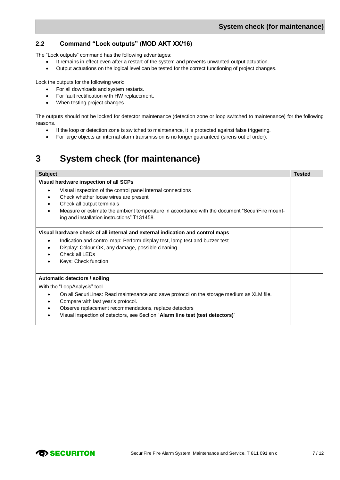### <span id="page-6-0"></span>**2.2 Command "Lock outputs" (MOD AKT XX/16)**

The "Lock outputs" command has the following advantages:

- It remains in effect even after a restart of the system and prevents unwanted output actuation.
- Output actuations on the logical level can be tested for the correct functioning of project changes.

Lock the outputs for the following work:

- For all downloads and system restarts.
- For fault rectification with HW replacement.
- When testing project changes.

The outputs should not be locked for detector maintenance (detection zone or loop switched to maintenance) for the following reasons.

- If the loop or detection zone is switched to maintenance, it is protected against false triggering.
- For large objects an internal alarm transmission is no longer guaranteed (sirens out of order).

### <span id="page-6-1"></span>**3 System check (for maintenance)**

| <b>Subject</b>                                                                                                                                                                                                                                                                                        | <b>Tested</b> |
|-------------------------------------------------------------------------------------------------------------------------------------------------------------------------------------------------------------------------------------------------------------------------------------------------------|---------------|
| Visual hardware inspection of all SCPs                                                                                                                                                                                                                                                                |               |
| Visual inspection of the control panel internal connections<br>$\bullet$<br>Check whether loose wires are present<br>Check all output terminals<br>Measure or estimate the ambient temperature in accordance with the document "SecuriFire mount-<br>٠<br>ing and installation instructions" T131458. |               |
| Visual hardware check of all internal and external indication and control maps                                                                                                                                                                                                                        |               |
| Indication and control map: Perform display test, lamp test and buzzer test<br>Display: Colour OK, any damage, possible cleaning<br>٠<br>Check all LEDs<br>Keys: Check function                                                                                                                       |               |
| Automatic detectors / soiling                                                                                                                                                                                                                                                                         |               |
| With the "LoopAnalysis" tool                                                                                                                                                                                                                                                                          |               |
| On all SecuriLines: Read maintenance and save protocol on the storage medium as XLM file.<br>$\bullet$<br>Compare with last year's protocol.<br>Observe replacement recommendations, replace detectors<br>Visual inspection of detectors, see Section "Alarm line test (test detectors)"              |               |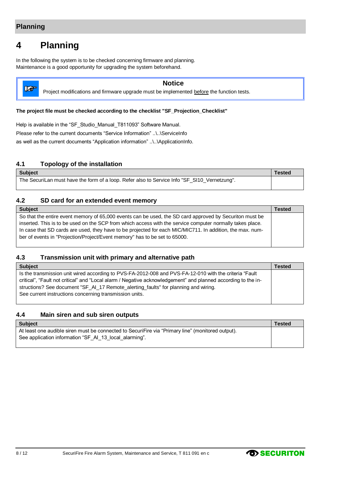### <span id="page-7-0"></span>**4 Planning**

In the following the system is to be checked concerning firmware and planning. Maintenance is a good opportunity for upgrading the system beforehand.



### **Notice**

Project modifications and firmware upgrade must be implemented before the function tests.

#### **The project file must be checked according to the checklist "SF\_Projection\_Checklist"**

Help is available in the "SF\_Studio\_Manual\_T811093" Software Manual. Please refer to the current documents "Service Information" ..\..\ServiceInfo as well as the current documents "Application information" ..\..\ApplicationInfo.

### <span id="page-7-1"></span>**4.1 Topology of the installation**

**Subject Tested** The SecuriLan must have the form of a loop. Refer also to Service Info "SF\_SI10\_Vernetzung".

### <span id="page-7-2"></span>**4.2 SD card for an extended event memory**

**Subject Tested** So that the entire event memory of 65,000 events can be used, the SD card approved by Securiton must be inserted. This is to be used on the SCP from which access with the service computer normally takes place. In case that SD cards are used, they have to be projected for each MIC/MIC711. In addition, the max. number of events in "Projection/Project/Event memory" has to be set to 65000.

### <span id="page-7-3"></span>**4.3 Transmission unit with primary and alternative path**

| <b>Subject</b>                                                                                                | Tested |
|---------------------------------------------------------------------------------------------------------------|--------|
| Is the transmission unit wired according to PVS-FA-2012-008 and PVS-FA-12-010 with the criteria "Fault"       |        |
| critical", "Fault not critical" and "Local alarm / Negative acknowledgement" and planned according to the in- |        |
| structions? See document "SF_AI_17 Remote_alerting_faults" for planning and wiring.                           |        |
| See current instructions concerning transmission units.                                                       |        |
|                                                                                                               |        |

#### <span id="page-7-4"></span>**4.4 Main siren and sub siren outputs**

| <b>Tested</b> |
|---------------|
|               |
|               |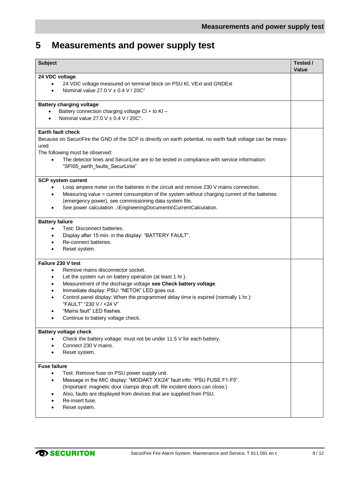### <span id="page-8-0"></span>**5 Measurements and power supply test**

| <b>Subject</b>                                                                                                                                                                                                                                                                                                                                                                                                                    | Tested /<br>Value |
|-----------------------------------------------------------------------------------------------------------------------------------------------------------------------------------------------------------------------------------------------------------------------------------------------------------------------------------------------------------------------------------------------------------------------------------|-------------------|
| 24 VDC voltage<br>24 VDC voltage measured on terminal block on PSU KI, VExt and GNDExt<br>Nominal value 27.0 V $\pm$ 0.4 V / 20C°<br>$\bullet$                                                                                                                                                                                                                                                                                    |                   |
| <b>Battery charging voltage</b><br>Battery connection charging voltage CI + to KI -<br>Nominal value $27.0$ V $\pm$ 0.4 V / 20C°.                                                                                                                                                                                                                                                                                                 |                   |
| <b>Earth fault check</b><br>Because on SecuriFire the GND of the SCP is directly on earth potential, no earth fault voltage can be meas-<br>ured.<br>The following must be observed:<br>The detector lines and SecuriLine are to be tested in compliance with service information:                                                                                                                                                |                   |
| "SFI05_earth_faults_SecurLinie"                                                                                                                                                                                                                                                                                                                                                                                                   |                   |
| <b>SCP system current</b><br>Loop ampere meter on the batteries in the circuit and remove 230 V mains connection.<br>Measuring value = current consumption of the system without charging current of the batteries<br>(emergency power), see commissioning data system file.<br>See power calculation \EngineeringDocuments\CurrentCalculation.                                                                                   |                   |
| <b>Battery failure</b><br>Test: Disconnect batteries.<br>Display after 15 min. in the display: "BATTERY FAULT".<br>Re-connect batteries.<br>Reset system.                                                                                                                                                                                                                                                                         |                   |
| Failure 230 V test<br>Remove mains disconnector socket.<br>٠<br>Let the system run on battery operation (at least 1 hr.).<br>Measurement of the discharge voltage see Check battery voltage.<br>Immediate display: PSU: "NETOK" LED goes out.<br>Control panel display: When the programmed delay time is expired (normally 1 hr.):<br>"FAULT" "230 V / +24 V"<br>"Mains fault" LED flashes<br>Continue to battery voltage check. |                   |
| <b>Battery voltage check</b><br>Check the battery voltage: must not be under 11.5 V for each battery.<br>Connect 230 V mains.<br>Reset system.                                                                                                                                                                                                                                                                                    |                   |
| <b>Fuse failure</b><br>Test: Remove fuse on PSU power supply unit.<br>$\bullet$<br>Message in the MIC display: "MODAKT XX/24" fault info: "PSU FUSE F1-F5".<br>٠<br>(Important: magnetic door clamps drop off, file incident doors can close.)<br>Also, faults are displayed from devices that are supplied from PSU.<br>Re-insert fuse.<br>Reset system.                                                                         |                   |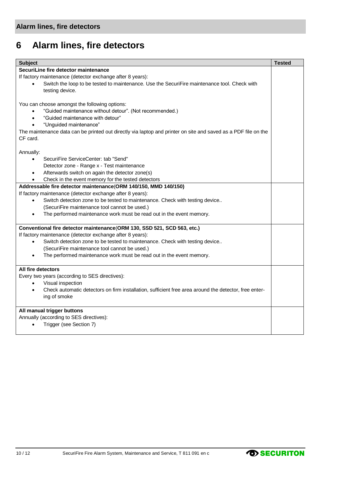### <span id="page-9-0"></span>**6 Alarm lines, fire detectors**

| <b>Subject</b>                                                                                                 | <b>Tested</b> |  |
|----------------------------------------------------------------------------------------------------------------|---------------|--|
| SecuriLine fire detector maintenance                                                                           |               |  |
| If factory maintenance (detector exchange after 8 years):                                                      |               |  |
| Switch the loop to be tested to maintenance. Use the SecuriFire maintenance tool. Check with                   |               |  |
| testing device.                                                                                                |               |  |
|                                                                                                                |               |  |
| You can choose amongst the following options:                                                                  |               |  |
| "Guided maintenance without detour". (Not recommended.)<br>$\bullet$                                           |               |  |
| "Guided maintenance with detour"<br>$\bullet$                                                                  |               |  |
| "Unguided maintenance"                                                                                         |               |  |
| The maintenance data can be printed out directly via laptop and printer on site and saved as a PDF file on the |               |  |
| CF card.                                                                                                       |               |  |
|                                                                                                                |               |  |
| Annually:                                                                                                      |               |  |
| SecuriFire ServiceCenter: tab "Send"<br>$\bullet$                                                              |               |  |
| Detector zone - Range x - Test maintenance                                                                     |               |  |
| Afterwards switch on again the detector zone(s)                                                                |               |  |
| Check in the event memory for the tested detectors                                                             |               |  |
| Addressable fire detector maintenance(ORM 140/150, MMD 140/150)                                                |               |  |
| If factory maintenance (detector exchange after 8 years):                                                      |               |  |
| Switch detection zone to be tested to maintenance. Check with testing device<br>$\bullet$                      |               |  |
| (SecuriFire maintenance tool cannot be used.)                                                                  |               |  |
| The performed maintenance work must be read out in the event memory.                                           |               |  |
| Conventional fire detector maintenance (ORM 130, SSD 521, SCD 563, etc.)                                       |               |  |
| If factory maintenance (detector exchange after 8 years):                                                      |               |  |
| Switch detection zone to be tested to maintenance. Check with testing device<br>$\bullet$                      |               |  |
| (SecuriFire maintenance tool cannot be used.)                                                                  |               |  |
| The performed maintenance work must be read out in the event memory.<br>$\bullet$                              |               |  |
| All fire detectors                                                                                             |               |  |
| Every two years (according to SES directives):                                                                 |               |  |
| Visual inspection                                                                                              |               |  |
| Check automatic detectors on firm installation, sufficient free area around the detector, free enter-          |               |  |
| ing of smoke                                                                                                   |               |  |
| All manual trigger buttons                                                                                     |               |  |
| Annually (according to SES directives):                                                                        |               |  |
| Trigger (see Section 7)                                                                                        |               |  |
|                                                                                                                |               |  |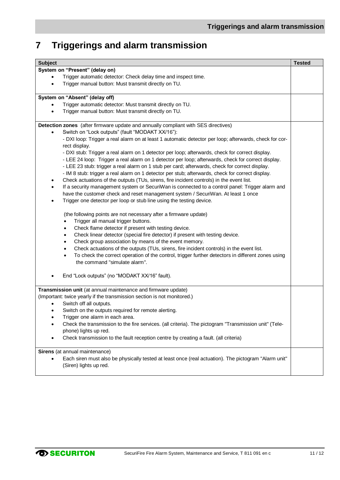## <span id="page-10-0"></span>**7 Triggerings and alarm transmission**

| <b>Subject</b>                                                                                                                                           | <b>Tested</b> |
|----------------------------------------------------------------------------------------------------------------------------------------------------------|---------------|
| System on "Present" (delay on)                                                                                                                           |               |
| Trigger automatic detector: Check delay time and inspect time.                                                                                           |               |
| Trigger manual button: Must transmit directly on TU.                                                                                                     |               |
| System on "Absent" (delay off)                                                                                                                           |               |
| Trigger automatic detector: Must transmit directly on TU.                                                                                                |               |
| Trigger manual button: Must transmit directly on TU.                                                                                                     |               |
| Detection zones (after firmware update and annually compliant with SES directives)                                                                       |               |
| Switch on "Lock outputs" (fault "MODAKT XX/16"):                                                                                                         |               |
| - DXI loop: Trigger a real alarm on at least 1 automatic detector per loop; afterwards, check for cor-                                                   |               |
| rect display.                                                                                                                                            |               |
| - DXI stub: Trigger a real alarm on 1 detector per loop; afterwards, check for correct display.                                                          |               |
| - LEE 24 loop: Trigger a real alarm on 1 detector per loop; afterwards, check for correct display.                                                       |               |
| - LEE 23 stub: trigger a real alarm on 1 stub per card; afterwards, check for correct display.                                                           |               |
| - IM 8 stub: trigger a real alarm on 1 detector per stub; afterwards, check for correct display.                                                         |               |
| Check actuations of the outputs (TUs, sirens, fire incident controls) in the event list.<br>$\bullet$                                                    |               |
| If a security management system or SecuriWan is connected to a control panel: Trigger alarm and                                                          |               |
| have the customer check and reset management system / SecuriWan. At least 1 once<br>Trigger one detector per loop or stub line using the testing device. |               |
|                                                                                                                                                          |               |
| (the following points are not necessary after a firmware update)                                                                                         |               |
| Trigger all manual trigger buttons.                                                                                                                      |               |
| Check flame detector if present with testing device.                                                                                                     |               |
| Check linear detector (special fire detector) if present with testing device.<br>$\bullet$                                                               |               |
| Check group association by means of the event memory.<br>$\bullet$                                                                                       |               |
| Check actuations of the outputs (TUs, sirens, fire incident controls) in the event list.<br>$\bullet$                                                    |               |
| To check the correct operation of the control, trigger further detectors in different zones using                                                        |               |
| the command "simulate alarm".                                                                                                                            |               |
| End "Lock outputs" (no "MODAKT XX/16" fault).                                                                                                            |               |
| Transmission unit (at annual maintenance and firmware update)                                                                                            |               |
| (Important: twice yearly if the transmission section is not monitored.)                                                                                  |               |
| Switch off all outputs.                                                                                                                                  |               |
| Switch on the outputs required for remote alerting.                                                                                                      |               |
| Trigger one alarm in each area.                                                                                                                          |               |
| Check the transmission to the fire services. (all criteria). The pictogram "Transmission unit" (Tele-                                                    |               |
| phone) lights up red.                                                                                                                                    |               |
| Check transmission to the fault reception centre by creating a fault. (all criteria)                                                                     |               |
| Sirens (at annual maintenance)                                                                                                                           |               |
| Each siren must also be physically tested at least once (real actuation). The pictogram "Alarm unit"                                                     |               |
| (Siren) lights up red.                                                                                                                                   |               |
|                                                                                                                                                          |               |